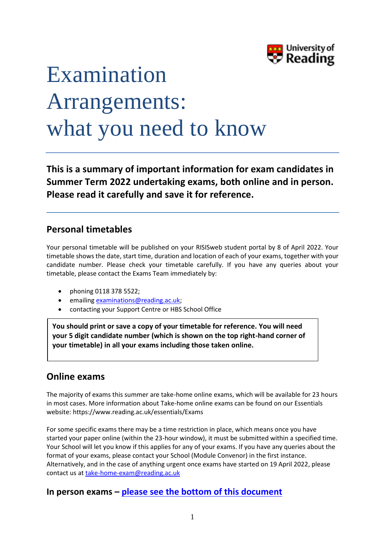

# Examination Arrangements: what you need to know

**This is a summary of important information for exam candidates in Summer Term 2022 undertaking exams, both online and in person. Please read it carefully and save it for reference.**

## **Personal timetables**

Your personal timetable will be published on your RISISweb student portal by 8 of April 2022. Your timetable shows the date, start time, duration and location of each of your exams, together with your candidate number. Please check your timetable carefully. If you have any queries about your timetable, please contact the Exams Team immediately by:

- phoning 0118 378 5522;
- emailin[g examinations@reading.ac.uk;](mailto:examinations@reading.ac.uk)
- contacting your Support Centre or HBS School Office

**You should print or save a copy of your timetable for reference. You will need your 5 digit candidate number (which is shown on the top right-hand corner of your timetable) in all your exams including those taken online.** 

## **Online exams**

The majority of exams this summer are take-home online exams, which will be available for 23 hours in most cases. More information about Take-home online exams can be found on our Essentials website: https://www.reading.ac.uk/essentials/Exams

For some specific exams there may be a time restriction in place, which means once you have started your paper online (within the 23-hour window), it must be submitted within a specified time. Your School will let you know if this applies for any of your exams. If you have any queries about the format of your exams, please contact your School (Module Convenor) in the first instance. Alternatively, and in the case of anything urgent once exams have started on 19 April 2022, please contact us at [take-home-exam@reading.ac.uk](mailto:take-home-exam@reading.ac.uk)

## **In person exams – [please see the bottom of this document](#page-5-0)**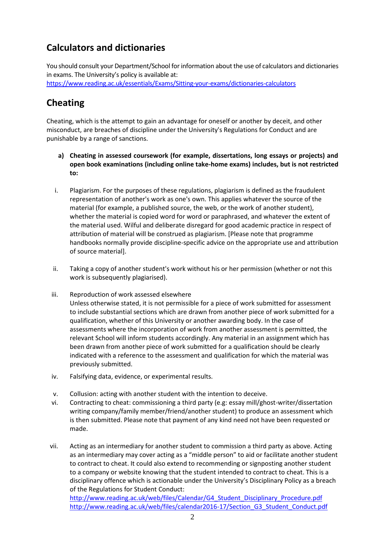## **Calculators and dictionaries**

You should consult your Department/School for information about the use of calculators and dictionaries in exams. The University's policy is available at: <https://www.reading.ac.uk/essentials/Exams/Sitting-your-exams/dictionaries-calculators>

## **Cheating**

Cheating, which is the attempt to gain an advantage for oneself or another by deceit, and other misconduct, are breaches of discipline under the University's Regulations for Conduct and are punishable by a range of sanctions.

- **a) Cheating in assessed coursework (for example, dissertations, long essays or projects) and open book examinations (including online take-home exams) includes, but is not restricted to:**
- i. Plagiarism. For the purposes of these regulations, plagiarism is defined as the fraudulent representation of another's work as one's own. This applies whatever the source of the material (for example, a published source, the web, or the work of another student), whether the material is copied word for word or paraphrased, and whatever the extent of the material used. Wilful and deliberate disregard for good academic practice in respect of attribution of material will be construed as plagiarism. [Please note that programme handbooks normally provide discipline-specific advice on the appropriate use and attribution of source material].
- ii. Taking a copy of another student's work without his or her permission (whether or not this work is subsequently plagiarised).
- iii. Reproduction of work assessed elsewhere Unless otherwise stated, it is not permissible for a piece of work submitted for assessment to include substantial sections which are drawn from another piece of work submitted for a qualification, whether of this University or another awarding body. In the case of assessments where the incorporation of work from another assessment is permitted, the relevant School will inform students accordingly. Any material in an assignment which has been drawn from another piece of work submitted for a qualification should be clearly indicated with a reference to the assessment and qualification for which the material was previously submitted.
- iv. Falsifying data, evidence, or experimental results.
- v. Collusion: acting with another student with the intention to deceive.
- vi. Contracting to cheat: commissioning a third party (e.g: essay mill/ghost-writer/dissertation writing company/family member/friend/another student) to produce an assessment which is then submitted. Please note that payment of any kind need not have been requested or made.
- vii. Acting as an intermediary for another student to commission a third party as above. Acting as an intermediary may cover acting as a "middle person" to aid or facilitate another student to contract to cheat. It could also extend to recommending or signposting another student to a company or website knowing that the student intended to contract to cheat. This is a disciplinary offence which is actionable under the University's Disciplinary Policy as a breach of the Regulations for Student Conduct:

[http://www.reading.ac.uk/web/files/Calendar/G4\\_Student\\_Disciplinary\\_Procedure.pdf](http://www.reading.ac.uk/web/files/Calendar/G4_Student_Disciplinary_Procedure.pdf) [http://www.reading.ac.uk/web/files/calendar2016-17/Section\\_G3\\_Student\\_Conduct.pdf](http://www.reading.ac.uk/web/files/calendar2016-17/Section_G3_Student_Conduct.pdf)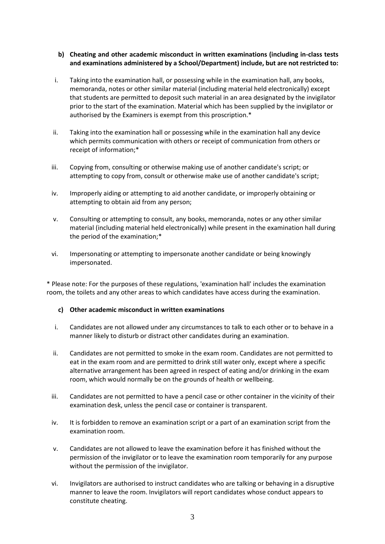#### **b) Cheating and other academic misconduct in written examinations (including in-class tests and examinations administered by a School/Department) include, but are not restricted to:**

- i. Taking into the examination hall, or possessing while in the examination hall, any books, memoranda, notes or other similar material (including material held electronically) except that students are permitted to deposit such material in an area designated by the invigilator prior to the start of the examination. Material which has been supplied by the invigilator or authorised by the Examiners is exempt from this proscription.\*
- ii. Taking into the examination hall or possessing while in the examination hall any device which permits communication with others or receipt of communication from others or receipt of information;\*
- iii. Copying from, consulting or otherwise making use of another candidate's script; or attempting to copy from, consult or otherwise make use of another candidate's script;
- iv. Improperly aiding or attempting to aid another candidate, or improperly obtaining or attempting to obtain aid from any person;
- v. Consulting or attempting to consult, any books, memoranda, notes or any other similar material (including material held electronically) while present in the examination hall during the period of the examination;\*
- vi. Impersonating or attempting to impersonate another candidate or being knowingly impersonated.

\* Please note: For the purposes of these regulations, 'examination hall' includes the examination room, the toilets and any other areas to which candidates have access during the examination.

#### **c) Other academic misconduct in written examinations**

- i. Candidates are not allowed under any circumstances to talk to each other or to behave in a manner likely to disturb or distract other candidates during an examination.
- ii. Candidates are not permitted to smoke in the exam room. Candidates are not permitted to eat in the exam room and are permitted to drink still water only, except where a specific alternative arrangement has been agreed in respect of eating and/or drinking in the exam room, which would normally be on the grounds of health or wellbeing.
- iii. Candidates are not permitted to have a pencil case or other container in the vicinity of their examination desk, unless the pencil case or container is transparent.
- iv. It is forbidden to remove an examination script or a part of an examination script from the examination room.
- v. Candidates are not allowed to leave the examination before it has finished without the permission of the invigilator or to leave the examination room temporarily for any purpose without the permission of the invigilator.
- vi. Invigilators are authorised to instruct candidates who are talking or behaving in a disruptive manner to leave the room. Invigilators will report candidates whose conduct appears to constitute cheating.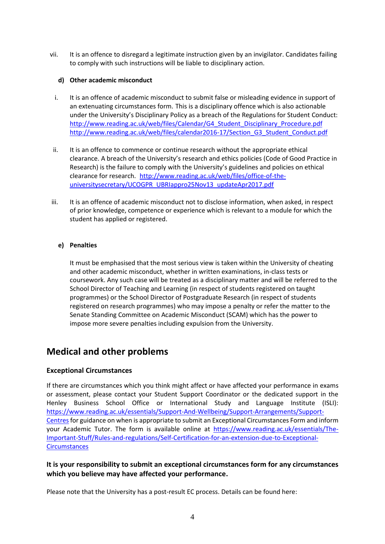vii. It is an offence to disregard a legitimate instruction given by an invigilator. Candidates failing to comply with such instructions will be liable to disciplinary action.

#### **d) Other academic misconduct**

- i. It is an offence of academic misconduct to submit false or misleading evidence in support of an extenuating circumstances form. This is a disciplinary offence which is also actionable under the University's Disciplinary Policy as a breach of the Regulations for Student Conduct: [http://www.reading.ac.uk/web/files/Calendar/G4\\_Student\\_Disciplinary\\_Procedure.pdf](http://www.reading.ac.uk/web/files/Calendar/G4_Student_Disciplinary_Procedure.pdf) [http://www.reading.ac.uk/web/files/calendar2016-17/Section\\_G3\\_Student\\_Conduct.pdf](http://www.reading.ac.uk/web/files/calendar2016-17/Section_G3_Student_Conduct.pdf)
- ii. It is an offence to commence or continue research without the appropriate ethical clearance. A breach of the University's research and ethics policies (Code of Good Practice in Research) is the failure to comply with the University's guidelines and policies on ethical clearance for research. [http://www.reading.ac.uk/web/files/office-of-the](http://www.reading.ac.uk/web/files/office-of-the-universitysecretary/UCOGPR_UBRIappro25Nov13_updateApr2017.pdf)[universitysecretary/UCOGPR\\_UBRIappro25Nov13\\_updateApr2017.pdf](http://www.reading.ac.uk/web/files/office-of-the-universitysecretary/UCOGPR_UBRIappro25Nov13_updateApr2017.pdf)
- iii. It is an offence of academic misconduct not to disclose information, when asked, in respect of prior knowledge, competence or experience which is relevant to a module for which the student has applied or registered.

#### **e) Penalties**

It must be emphasised that the most serious view is taken within the University of cheating and other academic misconduct, whether in written examinations, in-class tests or coursework. Any such case will be treated as a disciplinary matter and will be referred to the School Director of Teaching and Learning (in respect of students registered on taught programmes) or the School Director of Postgraduate Research (in respect of students registered on research programmes) who may impose a penalty or refer the matter to the Senate Standing Committee on Academic Misconduct (SCAM) which has the power to impose more severe penalties including expulsion from the University.

## **Medical and other problems**

#### **Exceptional Circumstances**

If there are circumstances which you think might affect or have affected your performance in exams or assessment, please contact your Student Support Coordinator or the dedicated support in the Henley Business School Office or International Study and Language Institute (ISLI): [https://www.reading.ac.uk/essentials/Support-And-Wellbeing/Support-Arrangements/Support-](https://www.reading.ac.uk/essentials/Support-And-Wellbeing/Support-Arrangements/Support-Centres)[Centresf](https://www.reading.ac.uk/essentials/Support-And-Wellbeing/Support-Arrangements/Support-Centres)or guidance on when is appropriate to submit an Exceptional Circumstances Form and inform your Academic Tutor. The form is available online at [https://www.reading.ac.uk/essentials/The-](https://www.reading.ac.uk/essentials/The-Important-Stuff/Rules-and-regulations/Self-Certification-for-an-extension-due-to-Exceptional-Circumstances)[Important-Stuff/Rules-and-regulations/Self-Certification-for-an-extension-due-to-Exceptional-](https://www.reading.ac.uk/essentials/The-Important-Stuff/Rules-and-regulations/Self-Certification-for-an-extension-due-to-Exceptional-Circumstances)**[Circumstances](https://www.reading.ac.uk/essentials/The-Important-Stuff/Rules-and-regulations/Self-Certification-for-an-extension-due-to-Exceptional-Circumstances)** 

#### **It is your responsibility to submit an exceptional circumstances form for any circumstances which you believe may have affected your performance.**

Please note that the University has a post-result EC process. Details can be found here: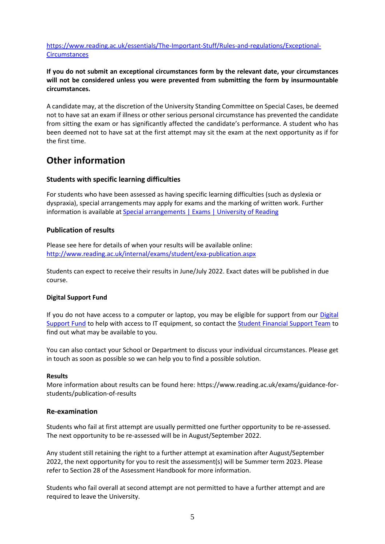[https://www.reading.ac.uk/essentials/The-Important-Stuff/Rules-and-regulations/Exceptional-](https://www.reading.ac.uk/essentials/The-Important-Stuff/Rules-and-regulations/Exceptional-Circumstances)**[Circumstances](https://www.reading.ac.uk/essentials/The-Important-Stuff/Rules-and-regulations/Exceptional-Circumstances)** 

#### **If you do not submit an exceptional circumstances form by the relevant date, your circumstances will not be considered unless you were prevented from submitting the form by insurmountable circumstances.**

A candidate may, at the discretion of the University Standing Committee on Special Cases, be deemed not to have sat an exam if illness or other serious personal circumstance has prevented the candidate from sitting the exam or has significantly affected the candidate's performance. A student who has been deemed not to have sat at the first attempt may sit the exam at the next opportunity as if for the first time.

## **Other information**

#### **Students with specific learning difficulties**

For students who have been assessed as having specific learning difficulties (such as dyslexia or dyspraxia), special arrangements may apply for exams and the marking of written work. Further information is available at [Special arrangements | Exams | University of Reading](https://www.reading.ac.uk/essentials/exams/special-arrangements)

#### **Publication of results**

Please see here for details of when your results will be available online: <http://www.reading.ac.uk/internal/exams/student/exa-publication.aspx>

Students can expect to receive their results in June/July 2022. Exact dates will be published in due course.

#### **Digital Support Fund**

If you do not have access to a computer or laptop, you may be eligible for support from our [Digital](https://www.reading.ac.uk/essentials/Money_matters/Funding/Digital-support-fund)  [Support Fund](https://www.reading.ac.uk/essentials/Money_matters/Funding/Digital-support-fund) to help with access to IT equipment, so contact the [Student Financial Support Team](mailto:studentfunding@reading.ac.uk) to find out what may be available to you.

You can also contact your School or Department to discuss your individual circumstances. Please get in touch as soon as possible so we can help you to find a possible solution.

#### **Results**

More information about results can be found here: https://www.reading.ac.uk/exams/guidance-forstudents/publication-of-results

#### **Re-examination**

Students who fail at first attempt are usually permitted one further opportunity to be re-assessed. The next opportunity to be re-assessed will be in August/September 2022.

Any student still retaining the right to a further attempt at examination after August/September 2022, the next opportunity for you to resit the assessment(s) will be Summer term 2023. Please refer to Section 28 of the Assessment Handbook for more information.

Students who fail overall at second attempt are not permitted to have a further attempt and are required to leave the University.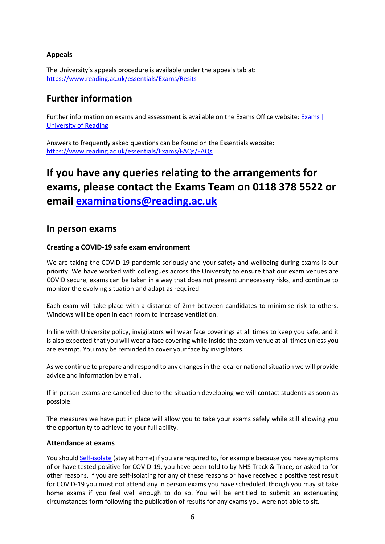#### **Appeals**

The University's appeals procedure is available under the appeals tab at: <https://www.reading.ac.uk/essentials/Exams/Resits>

## **Further information**

Further information on exams and assessment is available on the Exams Office website: Exams | [University of Reading](https://www.reading.ac.uk/essentials/Exams)

Answers to frequently asked questions can be found on the Essentials website: <https://www.reading.ac.uk/essentials/Exams/FAQs/FAQs>

## <span id="page-5-0"></span>**If you have any queries relating to the arrangements for exams, please contact the Exams Team on 0118 378 5522 or email [examinations@reading.ac.uk](mailto:examinations@reading.ac.uk)**

### **In person exams**

#### **Creating a COVID-19 safe exam environment**

We are taking the COVID-19 pandemic seriously and your safety and wellbeing during exams is our priority. We have worked with colleagues across the University to ensure that our exam venues are COVID secure, exams can be taken in a way that does not present unnecessary risks, and continue to monitor the evolving situation and adapt as required.

Each exam will take place with a distance of 2m+ between candidates to minimise risk to others. Windows will be open in each room to increase ventilation.

In line with University policy, invigilators will wear face coverings at all times to keep you safe, and it is also expected that you will wear a face covering while inside the exam venue at all times unless you are exempt. You may be reminded to cover your face by invigilators.

As we continue to prepare and respond to any changes in the local or national situation we will provide advice and information by email.

If in person exams are cancelled due to the situation developing we will contact students as soon as possible.

The measures we have put in place will allow you to take your exams safely while still allowing you the opportunity to achieve to your full ability.

#### **Attendance at exams**

You should [Self-isolate](https://www.gov.uk/government/publications/covid-19-stay-at-home-guidance) (stay at home) if you are required to, for example because you have symptoms of or have tested positive for COVID-19, you have been told to by NHS Track & Trace, or asked to for other reasons. If you are self-isolating for any of these reasons or have received a positive test result for COVID-19 you must not attend any in person exams you have scheduled, though you may sit take home exams if you feel well enough to do so. You will be entitled to submit an extenuating circumstances form following the publication of results for any exams you were not able to sit.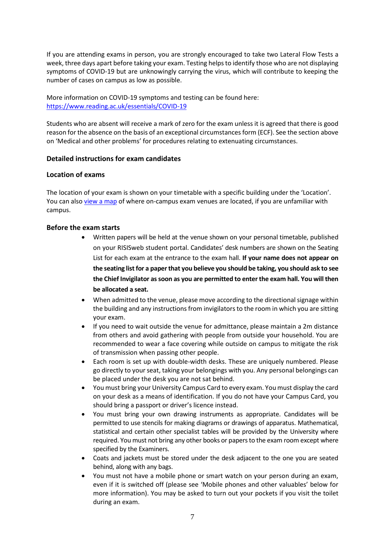If you are attending exams in person, you are strongly encouraged to take two Lateral Flow Tests a week, three days apart before taking your exam. Testing helps to identify those who are not displaying symptoms of COVID-19 but are unknowingly carrying the virus, which will contribute to keeping the number of cases on campus as low as possible.

More information on COVID-19 symptoms and testing can be found here: <https://www.reading.ac.uk/essentials/COVID-19>

Students who are absent will receive a mark of zero for the exam unless it is agreed that there is good reason for the absence on the basis of an exceptional circumstances form (ECF). See the section above on 'Medical and other problems' for procedures relating to extenuating circumstances.

#### **Detailed instructions for exam candidates**

#### **Location of exams**

The location of your exam is shown on your timetable with a specific building under the 'Location'. You can also [view a map](https://www.reading.ac.uk/exams/guidance-for-students/sitting-exams-heres-what-you-need-to-know/maps-for-exam-locations) of where on-campus exam venues are located, if you are unfamiliar with campus.

#### **Before the exam starts**

- Written papers will be held at the venue shown on your personal timetable, published on your RISISweb student portal. Candidates' desk numbers are shown on the Seating List for each exam at the entrance to the exam hall. **If your name does not appear on the seating list for a paper that you believe you should be taking, you should ask to see the Chief Invigilator as soon as you are permitted to enter the exam hall. You will then be allocated a seat.**
- When admitted to the venue, please move according to the directional signage within the building and any instructions from invigilators to the room in which you are sitting your exam.
- If you need to wait outside the venue for admittance, please maintain a 2m distance from others and avoid gathering with people from outside your household. You are recommended to wear a face covering while outside on campus to mitigate the risk of transmission when passing other people.
- Each room is set up with double-width desks. These are uniquely numbered. Please go directly to your seat, taking your belongings with you. Any personal belongings can be placed under the desk you are not sat behind.
- You must bring your University Campus Card to every exam. You must display the card on your desk as a means of identification. If you do not have your Campus Card, you should bring a passport or driver's licence instead.
- You must bring your own drawing instruments as appropriate. Candidates will be permitted to use stencils for making diagrams or drawings of apparatus. Mathematical, statistical and certain other specialist tables will be provided by the University where required. You must not bring any other books or papers to the exam room except where specified by the Examiners.
- Coats and jackets must be stored under the desk adjacent to the one you are seated behind, along with any bags.
- You must not have a mobile phone or smart watch on your person during an exam, even if it is switched off (please see 'Mobile phones and other valuables' below for more information). You may be asked to turn out your pockets if you visit the toilet during an exam.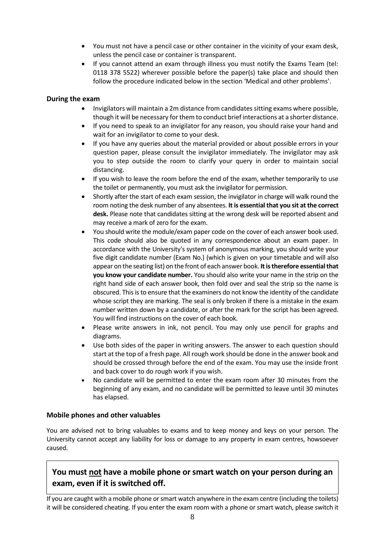- You must not have a pencil case or other container in the vicinity of your exam desk, unless the pencil case or container is transparent.
- If you cannot attend an exam through illness you must notify the Exams Team (tel: 0118 378 5522) wherever possible before the paper(s) take place and should then follow the procedure indicated below in the section 'Medical and other problems'.

#### **During the exam**

- Invigilators will maintain a 2m distance from candidates sitting exams where possible, though it will be necessary for them to conduct brief interactions at a shorter distance.
- If you need to speak to an invigilator for any reason, you should raise your hand and wait for an invigilator to come to your desk.
- If you have any queries about the material provided or about possible errors in your question paper, please consult the invigilator immediately. The invigilator may ask you to step outside the room to clarify your query in order to maintain social distancing.
- If you wish to leave the room before the end of the exam, whether temporarily to use the toilet or permanently, you must ask the invigilator for permission.
- Shortly after the start of each exam session, the invigilator in charge will walk round the room noting the desk number of any absentees. **It is essential that you sit at the correct desk.** Please note that candidates sitting at the wrong desk will be reported absent and may receive a mark of zero for the exam.
- You should write the module/exam paper code on the cover of each answer book used. This code should also be quoted in any correspondence about an exam paper. In accordance with the University's system of anonymous marking, you should write your five digit candidate number (Exam No.) (which is given on your timetable and will also appear on the seating list) on the front of each answer book. **It is therefore essential that you know your candidate number.** You should also write your name in the strip on the right hand side of each answer book, then fold over and seal the strip so the name is obscured. This is to ensure that the examiners do not know the identity of the candidate whose script they are marking. The seal is only broken if there is a mistake in the exam number written down by a candidate, or after the mark for the script has been agreed. You will find instructions on the cover of each book.
- Please write answers in ink, not pencil. You may only use pencil for graphs and diagrams.
- Use both sides of the paper in writing answers. The answer to each question should start at the top of a fresh page. All rough work should be done in the answer book and should be crossed through before the end of the exam. You may use the inside front and back cover to do rough work if you wish.
- No candidate will be permitted to enter the exam room after 30 minutes from the beginning of any exam, and no candidate will be permitted to leave until 30 minutes has elapsed.

#### **Mobile phones and other valuables**

You are advised not to bring valuables to exams and to keep money and keys on your person. The University cannot accept any liability for loss or damage to any property in exam centres, howsoever caused.

## **You must not have a mobile phone or smart watch on your person during an exam, even if it is switched off.**

If you are caught with a mobile phone or smart watch anywhere in the exam centre (including the toilets) it will be considered cheating. If you enter the exam room with a phone or smart watch, please switch it